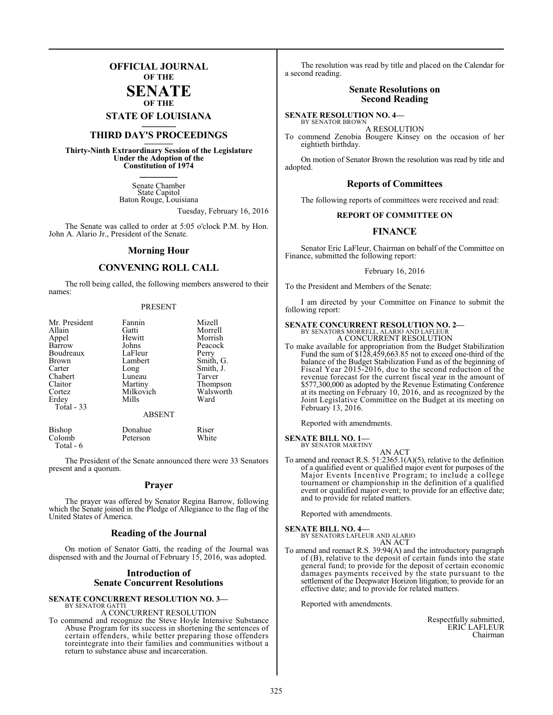## **OFFICIAL JOURNAL OF THE**

**SENATE OF THE**

**STATE OF LOUISIANA \_\_\_\_\_\_\_**

## **THIRD DAY'S PROCEEDINGS \_\_\_\_\_\_\_**

**Thirty-Ninth Extraordinary Session of the Legislature Under the Adoption of the Constitution of 1974 \_\_\_\_\_\_\_**

> Senate Chamber State Capitol Baton Rouge, Louisiana

> > Tuesday, February 16, 2016

The Senate was called to order at 5:05 o'clock P.M. by Hon. John A. Alario Jr., President of the Senate.

#### **Morning Hour**

#### **CONVENING ROLL CALL**

The roll being called, the following members answered to their names:

#### PRESENT

| Mr. President | Fannin        | Mizell    |
|---------------|---------------|-----------|
| Allain        | Gatti         | Morrell   |
| Appel         | Hewitt        | Morrish   |
| Barrow        | Johns         | Peacock   |
| Boudreaux     | LaFleur       | Perry     |
| <b>Brown</b>  | Lambert       | Smith, G. |
| Carter        | Long          | Smith, J. |
| Chabert       | Luneau        | Tarver    |
| Claitor       | Martiny       | Thompson  |
| Cortez        | Milkovich     | Walsworth |
| Erdey         | Mills         | Ward      |
| Total - 33    |               |           |
|               | <b>ABSENT</b> |           |

| Bishop    | Donahue  | Riser |
|-----------|----------|-------|
| Colomb    | Peterson | White |
| Total - 6 |          |       |

The President of the Senate announced there were 33 Senators present and a quorum.

#### **Prayer**

The prayer was offered by Senator Regina Barrow, following which the Senate joined in the Pledge of Allegiance to the flag of the United States of America.

## **Reading of the Journal**

On motion of Senator Gatti, the reading of the Journal was dispensed with and the Journal of February 15, 2016, was adopted.

#### **Introduction of Senate Concurrent Resolutions**

#### **SENATE CONCURRENT RESOLUTION NO. 3—** BY SENATOR GATTI

#### A CONCURRENT RESOLUTION

To commend and recognize the Steve Hoyle Intensive Substance Abuse Program for its success in shortening the sentences of certain offenders, while better preparing those offenders toreintegrate into their families and communities without a return to substance abuse and incarceration.

The resolution was read by title and placed on the Calendar for a second reading.

#### **Senate Resolutions on Second Reading**

#### **SENATE RESOLUTION NO. 4—**

BY SENATOR BROWN A RESOLUTION

To commend Zenobia Bougere Kinsey on the occasion of her eightieth birthday.

On motion of Senator Brown the resolution was read by title and adopted.

#### **Reports of Committees**

The following reports of committees were received and read:

#### **REPORT OF COMMITTEE ON**

#### **FINANCE**

Senator Eric LaFleur, Chairman on behalf of the Committee on Finance, submitted the following report:

February 16, 2016

To the President and Members of the Senate:

I am directed by your Committee on Finance to submit the following report:

## **SENATE CONCURRENT RESOLUTION NO. 2—** BY SENATORS MORRELL, ALARIO AND LAFLEUR

A CONCURRENT RESOLUTION

To make available for appropriation from the Budget Stabilization Fund the sum of \$128,459,663.85 not to exceed one-third of the balance of the Budget Stabilization Fund as of the beginning of Fiscal Year 2015-2016, due to the second reduction of the revenue forecast for the current fiscal year in the amount of \$577,300,000 as adopted by the Revenue Estimating Conference at its meeting on February 10, 2016, and as recognized by the Joint Legislative Committee on the Budget at its meeting on February 13, 2016.

Reported with amendments.

#### **SENATE BILL NO. 1—** BY SENATOR MARTINY

AN ACT

To amend and reenact R.S. 51:2365.1(A)(5), relative to the definition of a qualified event or qualified major event for purposes of the Major Events Incentive Program; to include a college tournament or championship in the definition of a qualified event or qualified major event; to provide for an effective date; and to provide for related matters.

Reported with amendments.

**SENATE BILL NO. 4—** BY SENATORS LAFLEUR AND ALARIO AN ACT

To amend and reenact R.S. 39:94(A) and the introductory paragraph of (B), relative to the deposit of certain funds into the state general fund; to provide for the deposit of certain economic damages payments received by the state pursuant to the settlement of the Deepwater Horizon litigation; to provide for an effective date; and to provide for related matters.

Reported with amendments.

Respectfully submitted, ERIC LAFLEUR Chairman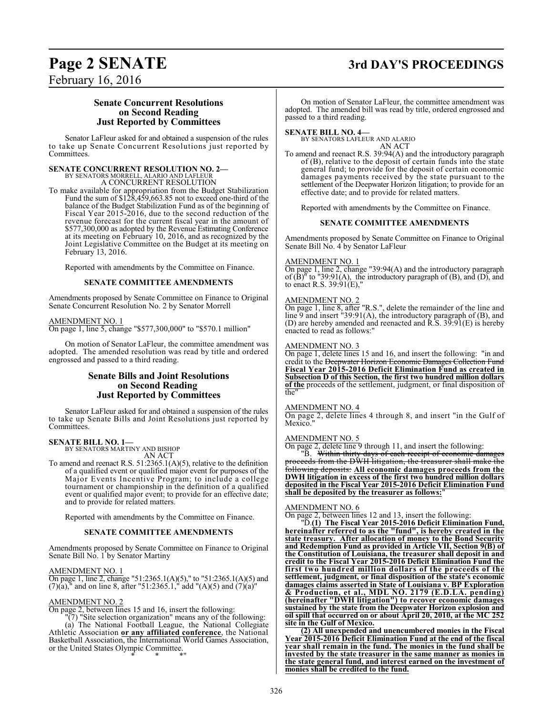# February 16, 2016

## **Page 2 SENATE 3rd DAY'S PROCEEDINGS**

#### **Senate Concurrent Resolutions on Second Reading Just Reported by Committees**

Senator LaFleur asked for and obtained a suspension of the rules to take up Senate Concurrent Resolutions just reported by Committees.

# **SENATE CONCURRENT RESOLUTION NO. 2—**<br>BY SENATORS MORRELL, ALARIO AND LAFLEUR<br>A CONCURRENT RESOLUTION

To make available for appropriation from the Budget Stabilization Fund the sum of \$128,459,663.85 not to exceed one-third of the balance of the Budget Stabilization Fund as of the beginning of Fiscal Year 2015-2016, due to the second reduction of the revenue forecast for the current fiscal year in the amount of \$577,300,000 as adopted by the Revenue Estimating Conference at its meeting on February 10, 2016, and as recognized by the Joint Legislative Committee on the Budget at its meeting on February 13, 2016.

Reported with amendments by the Committee on Finance.

#### **SENATE COMMITTEE AMENDMENTS**

Amendments proposed by Senate Committee on Finance to Original Senate Concurrent Resolution No. 2 by Senator Morrell

#### AMENDMENT NO. 1

On page 1, line 5, change "\$577,300,000" to "\$570.1 million"

On motion of Senator LaFleur, the committee amendment was adopted. The amended resolution was read by title and ordered engrossed and passed to a third reading.

## **Senate Bills and Joint Resolutions on Second Reading Just Reported by Committees**

Senator LaFleur asked for and obtained a suspension of the rules to take up Senate Bills and Joint Resolutions just reported by Committees.

## **SENATE BILL NO. 1—** BY SENATORS MARTINY AND BISHOP

AN ACT

To amend and reenact R.S. 51:2365.1(A)(5), relative to the definition of a qualified event or qualified major event for purposes of the Major Events Incentive Program; to include a college tournament or championship in the definition of a qualified event or qualified major event; to provide for an effective date; and to provide for related matters.

Reported with amendments by the Committee on Finance.

#### **SENATE COMMITTEE AMENDMENTS**

Amendments proposed by Senate Committee on Finance to Original Senate Bill No. 1 by Senator Martiny

#### AMENDMENT NO. 1

On page 1, line 2, change "51:2365.1(A)(5)," to "51:2365.1(A)(5) and  $(7)(a)$ ," and on line 8, after "51:2365.1," add "(A)(5) and  $(7)(a)$ "

#### AMENDMENT NO. 2

On page 2, between lines 15 and 16, insert the following:

"(7) "Site selection organization" means any of the following: (a) The National Football League, the National Collegiate Athletic Association **or any affiliated conference**, the National Basketball Association, the International World Games Association, or the United States Olympic Committee. \* \* \*"

On motion of Senator LaFleur, the committee amendment was adopted. The amended bill was read by title, ordered engrossed and passed to a third reading.

**SENATE BILL NO. 4—** BY SENATORS LAFLEUR AND ALARIO AN ACT

To amend and reenact R.S. 39:94(A) and the introductory paragraph of (B), relative to the deposit of certain funds into the state general fund; to provide for the deposit of certain economic damages payments received by the state pursuant to the settlement of the Deepwater Horizon litigation; to provide for an effective date; and to provide for related matters.

Reported with amendments by the Committee on Finance.

#### **SENATE COMMITTEE AMENDMENTS**

Amendments proposed by Senate Committee on Finance to Original Senate Bill No. 4 by Senator LaFleur

#### AMENDMENT NO. 1

On page 1, line 2, change "39:94(A) and the introductory paragraph of  $(B)$ <sup>"</sup> to "39:91(A), the introductory paragraph of  $(B)$ , and  $(D)$ , and to enact R.S. 39:91(E),"

#### AMENDMENT NO. 2

On page 1, line 8, after "R.S.", delete the remainder of the line and line 9 and insert "39:91(A), the introductory paragraph of (B), and (D) are hereby amended and reenacted and R.S. 39:91(E) is hereby enacted to read as follows:"

#### AMENDMENT NO. 3

On page 1, delete lines 15 and 16, and insert the following: "in and credit to the <del>Deepwater Horizon Economic Damages Collection Fund</del> **Fiscal Year 2015-2016 Deficit Elimination Fund as created in Subsection D of this Section, the first two hundred million dollars of the** proceeds of the settlement, judgment, or final disposition of the"

#### AMENDMENT NO. 4

On page 2, delete lines 4 through 8, and insert "in the Gulf of Mexico."

#### AMENDMENT NO. 5

On page 2, delete line 9 through 11, and insert the following:

"B. Within thirty days of each receipt of economic damages proceeds from the DWH litigation, the treasurer shall make the following deposits: **All economic damages proceeds from the DWH litigation in excess of the first two hundred million dollars deposited in the Fiscal Year 2015-2016 Deficit Elimination Fund** shall be deposited by the treasurer as follows:

#### AMENDMENT NO. 6

On page 2, between lines 12 and 13, insert the following:

"D.**(1) The Fiscal Year 2015-2016 Deficit Elimination Fund, hereinafter referred to as the "fund", is hereby created in the state treasury. After allocation of money to the Bond Security and Redemption Fund as provided in Article VII, Section 9(B) of the Constitution of Louisiana, the treasurer shall deposit in and credit to the Fiscal Year 2015-2016 Deficit Elimination Fund the first two hundred million dollars of the proceeds of the settlement, judgment, or final disposition of the state's economic damages claims asserted in State of Louisiana v. BP Exploration & Production, et al., MDL NO. 2179 (E.D.LA. pending) (hereinafter "DWH litigation") to recover economic damages sustained by the state from the Deepwater Horizon explosion and oil spill that occurred on or about April 20, 2010, at the MC 252 site in the Gulf of Mexico.**

**(2) All unexpended and unencumbered monies in the Fiscal Year 2015-2016 Deficit Elimination Fund at the end of the fiscal year shall remain in the fund. The monies in the fund shall be invested by the state treasurer in the same manner as monies in the state general fund, and interest earned on the investment of monies shall be credited to the fund.**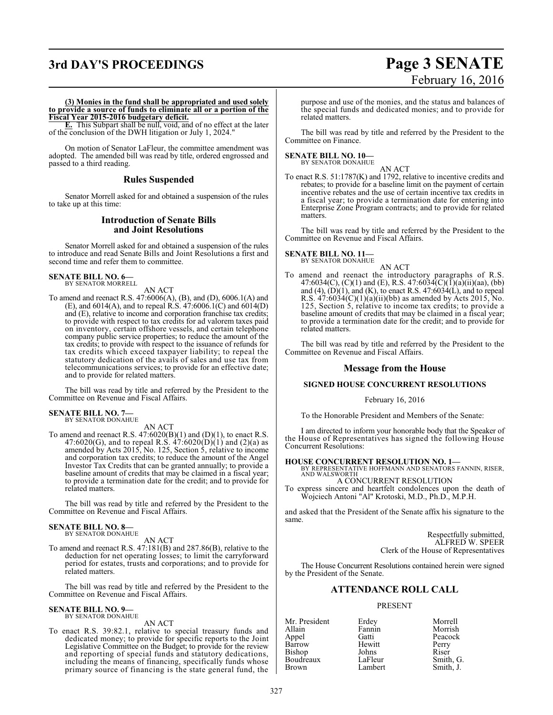## **3rd DAY'S PROCEEDINGS Page 3 SENATE**

# February 16, 2016

**(3) Monies in the fund shall be appropriated and used solely to provide a source of funds to eliminate all or a portion of the Fiscal Year 2015-2016 budgetary deficit.**

**E.** This Subpart shall be null, void, and of no effect at the later of the conclusion of the DWH litigation or July 1, 2024."

On motion of Senator LaFleur, the committee amendment was adopted. The amended bill was read by title, ordered engrossed and passed to a third reading.

#### **Rules Suspended**

Senator Morrell asked for and obtained a suspension of the rules to take up at this time:

#### **Introduction of Senate Bills and Joint Resolutions**

Senator Morrell asked for and obtained a suspension of the rules to introduce and read Senate Bills and Joint Resolutions a first and second time and refer them to committee.

## **SENATE BILL NO. 6—** BY SENATOR MORRELL

AN ACT

To amend and reenact R.S. 47:6006(A), (B), and (D), 6006.1(A) and (E), and 6014(A), and to repeal R.S.  $47:6006.1(C)$  and  $6014(D)$ and (E), relative to income and corporation franchise tax credits; to provide with respect to tax credits for ad valorem taxes paid on inventory, certain offshore vessels, and certain telephone company public service properties; to reduce the amount of the tax credits; to provide with respect to the issuance of refunds for tax credits which exceed taxpayer liability; to repeal the statutory dedication of the avails of sales and use tax from telecommunications services; to provide for an effective date; and to provide for related matters.

The bill was read by title and referred by the President to the Committee on Revenue and Fiscal Affairs.

#### **SENATE BILL NO. 7—** BY SENATOR DONAHUE

AN ACT

To amend and reenact R.S.  $47:6020(B)(1)$  and  $(D)(1)$ , to enact R.S. 47:6020(G), and to repeal R.S.  $47:6020(D)(1)$  and (2)(a) as amended by Acts 2015, No. 125, Section 5, relative to income and corporation tax credits; to reduce the amount of the Angel Investor Tax Credits that can be granted annually; to provide a baseline amount of credits that may be claimed in a fiscal year; to provide a termination date for the credit; and to provide for related matters.

The bill was read by title and referred by the President to the Committee on Revenue and Fiscal Affairs.

#### **SENATE BILL NO. 8—** BY SENATOR DONAHUE

AN ACT

To amend and reenact R.S. 47:181(B) and 287.86(B), relative to the deduction for net operating losses; to limit the carryforward period for estates, trusts and corporations; and to provide for related matters.

The bill was read by title and referred by the President to the Committee on Revenue and Fiscal Affairs.

#### **SENATE BILL NO. 9—** BY SENATOR DONAHUE

AN ACT

To enact R.S. 39:82.1, relative to special treasury funds and dedicated money; to provide for specific reports to the Joint Legislative Committee on the Budget; to provide for the review and reporting of special funds and statutory dedications, including the means of financing, specifically funds whose primary source of financing is the state general fund, the

purpose and use of the monies, and the status and balances of the special funds and dedicated monies; and to provide for related matters.

The bill was read by title and referred by the President to the Committee on Finance.

## **SENATE BILL NO. 10—** BY SENATOR DONAHUE

AN ACT

To enact R.S. 51:1787(K) and 1792, relative to incentive credits and rebates; to provide for a baseline limit on the payment of certain incentive rebates and the use of certain incentive tax credits in a fiscal year; to provide a termination date for entering into Enterprise Zone Program contracts; and to provide for related matters.

The bill was read by title and referred by the President to the Committee on Revenue and Fiscal Affairs.

## **SENATE BILL NO. 11—** BY SENATOR DONAHUE

AN ACT

To amend and reenact the introductory paragraphs of R.S. 47:6034(C), (C)(1) and (E), R.S. 47:6034( $C$ )( $\overline{1}$ )( $\overline{a}$ )( $\overline{i}$ i)( $\overline{aa}$ ), ( $\overline{bb}$ ) and  $(4)$ ,  $(D)(1)$ , and  $(K)$ , to enact R.S.  $47:6034(L)$ , and to repeal R.S.  $47:6034(C)(1)(a)(ii)(bb)$  as amended by Acts 2015, No. 125, Section 5, relative to income tax credits; to provide a baseline amount of credits that may be claimed in a fiscal year; to provide a termination date for the credit; and to provide for related matters.

The bill was read by title and referred by the President to the Committee on Revenue and Fiscal Affairs.

#### **Message from the House**

#### **SIGNED HOUSE CONCURRENT RESOLUTIONS**

#### February 16, 2016

To the Honorable President and Members of the Senate:

I am directed to inform your honorable body that the Speaker of the House of Representatives has signed the following House Concurrent Resolutions:

**HOUSE CONCURRENT RESOLUTION NO. 1—** BY REPRESENTATIVE HOFFMANN AND SENATORS FANNIN, RISER, AND WALSWORTH

A CONCURRENT RESOLUTION To express sincere and heartfelt condolences upon the death of

Wojciech Antoni "Al" Krotoski, M.D., Ph.D., M.P.H.

and asked that the President of the Senate affix his signature to the same.

> Respectfully submitted, ALFRED W. SPEER Clerk of the House of Representatives

The House Concurrent Resolutions contained herein were signed by the President of the Senate.

## **ATTENDANCE ROLL CALL**

#### PRESENT

Allain Fannin Morrish<br>Appel Gatti Peacock Barrow Hewitt Perry<br>Bishop Johns Riser Bishop Johns Riser<br>Boudreaux LaFleur Smith, G. Boudreaux LaFleur<br>Brown Lambert

Mr. President Erdey Morrell Gatti Peacock<br>
Hewitt Perry Smith, J.